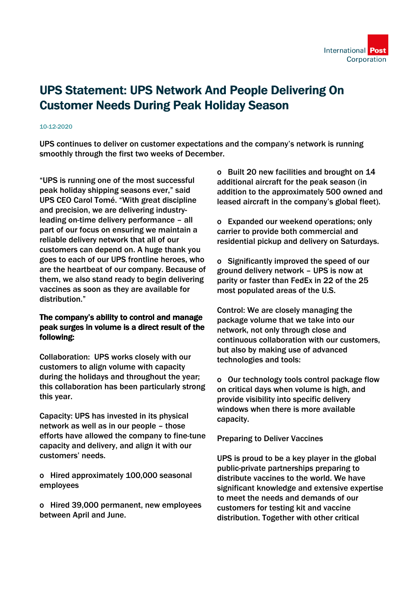## UPS Statement: UPS Network And People Delivering On Customer Needs During Peak Holiday Season

## 10-12-2020

UPS continues to deliver on customer expectations and the company's network is running smoothly through the first two weeks of December.

"UPS is running one of the most successful peak holiday shipping seasons ever," said UPS CEO Carol Tomé. "With great discipline and precision, we are delivering industryleading on-time delivery performance – all part of our focus on ensuring we maintain a reliable delivery network that all of our customers can depend on. A huge thank you goes to each of our UPS frontline heroes, who are the heartbeat of our company. Because of them, we also stand ready to begin delivering vaccines as soon as they are available for distribution."

## The company's ability to control and manage peak surges in volume is a direct result of the following:

Collaboration: UPS works closely with our customers to align volume with capacity during the holidays and throughout the year; this collaboration has been particularly strong this year.

Capacity: UPS has invested in its physical network as well as in our people – those efforts have allowed the company to fine-tune capacity and delivery, and align it with our customers' needs.

o Hired approximately 100,000 seasonal employees

o Hired 39,000 permanent, new employees between April and June.

o Built 20 new facilities and brought on 14 additional aircraft for the peak season (in addition to the approximately 500 owned and leased aircraft in the company's global fleet).

o Expanded our weekend operations; only carrier to provide both commercial and residential pickup and delivery on Saturdays.

o Significantly improved the speed of our ground delivery network – UPS is now at parity or faster than FedEx in 22 of the 25 most populated areas of the U.S.

Control: We are closely managing the package volume that we take into our network, not only through close and continuous collaboration with our customers, but also by making use of advanced technologies and tools:

o Our technology tools control package flow on critical days when volume is high, and provide visibility into specific delivery windows when there is more available capacity.

Preparing to Deliver Vaccines

UPS is proud to be a key player in the global public-private partnerships preparing to distribute vaccines to the world. We have significant knowledge and extensive expertise to meet the needs and demands of our customers for testing kit and vaccine distribution. Together with other critical